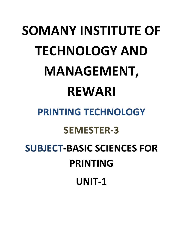# **SOMANY INSTITUTE OF TECHNOLOGY AND MANAGEMENT, REWARI PRINTING TECHNOLOGY SEMESTER-3**

**SUBJECT-BASIC SCIENCES FOR PRINTING UNIT-1**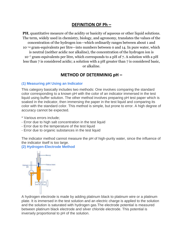## **DEFINITION OF Ph –**

**PH**, quantitative measure of the acidity or basicity of aqueous or other [liquid](https://www.britannica.com/science/liquid-state-of-matter) solutions. The term, widely used in [chemistry,](https://www.britannica.com/science/chemistry) [biology,](https://www.britannica.com/science/biology) and [agronomy,](https://www.britannica.com/science/agronomy) translates the values of the concentration of the [hydrogen ion](https://www.britannica.com/science/hydrogen-ion)—which ordinarily ranges between about 1 and 10−<sup>14</sup> gram-equivalents per litre—into numbers between 0 and 14. In pure [water,](https://www.britannica.com/science/water) which is neutral (neither acidic nor alkaline), the concentration of the hydrogen ion is 10−<sup>7</sup> gram-equivalents per litre, which corresponds to a pH of 7. A [solution](https://www.britannica.com/science/solution-chemistry) with a pH less than 7 is considered [acidic;](https://www.britannica.com/science/acid) a solution with a pH greater than 7 is considered [basic,](https://www.britannica.com/science/base-chemical-compound) or alkaline.

### **METHOD OF DETERMINIG pH –**

#### **(1) Measuring pH Using an Indicator**

This category basically includes two methods: One involves comparing the standard color corresponding to a known pH with the color of an indicator immersed in the test liquid using buffer solution. The other method involves preparing pH test paper which is soaked in the indicator, then immersing the paper in the test liquid and comparing its color with the standard color. This method is simple, but prone to error. A high degree of accuracy cannot be expected.

- \* Various errors include;
- Error due to high salt concentration in the test liquid
- Error due to the temperature of the test liquid
- Error due to organic substances in the test liquid

The indicator method cannot measure the pH of high-purity water, since the influence of the indicator itself is too large.

#### **(2) Hydrogen-Electrode Method**



A hydrogen electrode is made by adding platinum black to platinum wire or a platinum plate. It is immersed in the test solution and an electric charge is applied to the solution and the solution is saturated with hydrogen gas.The electrode potential is measured between platinum black electrode and silver chloride electrode. This potential is inversely proportional to pH of the solution.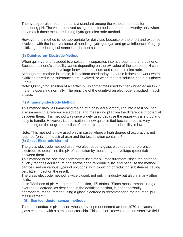The hydrogen-electrode method is a standard among the various methods for measuring pH. The values derived using other methods become trustworthy only when they match those measured using hydrogen electrode method.

However, this method is not appropriate for daily use because of the effort and expense involved, with the inconvenience of handling hydrogen gas and great influence of highly oxidizing or reducing substances in the test solution.

#### **(3) Quinhydron-Electrode Method**

When quinhydrone is added to a solution, it separates into hydroquinone and quinone. Because quinone's solubility varies depending on the pH value of the solution, pH can be determined from the voltage between a platinum and reference electrode.

Although this method is simple, it is seldom used today, because it does not work when oxidizing or reducing substances are involved, or when the test solution has a pH above 8 or 9.

Note: Quinhydron solution of a certain pH is sometimes used to check whether an ORP meter is operating normally. The principle of the quinhydron electrode is applied in such a case.

#### **(4) Antimony-Electrode Method**

This method involves immersing the tip of a polished antimony rod into a test solution, also immersing a reference electrode, and measuring pH from the difference in potential between them. This method was once widely used because the apparatus is sturdy and easy to handle. However, its application is now quite limited because results vary depending on the degree of polish of the electrode, and reproducibility is low.

Note: This method is now used only in cases where a high degree of accuracy is not required (only for industrial use) and the test solution contains F- . **(5) Glass-Electrode Method**

The glass electrode method uses two electrodes, a glass electrode and reference electrode, to determine the pH of a solution by measuring the voltage (potential) between them.

This method is the one most commonly used for pH measurement, since the potential quickly reaches equilibrium and shows good reproducibility, and because the method can be used on various types of solutions, with oxidizing or reducing substances having very little impact on the result.

The glass electrode method is widely used, not only in industry but also in many other fields.

In its "Methods of pH Measurement" section, JIS states, "Since measurement using a hydrogen electrode, as described in the definition section, is not necessarily appropriate, measurement using a glass electrode is recommended for industrial pH measurement."

#### (**6**)**Semiconductor sensor methods**

The semiconductor pH sensor, whose development started around 1970, replaces a glass electrode with a semiconductor chip. This sensor, known as an ion sensitive field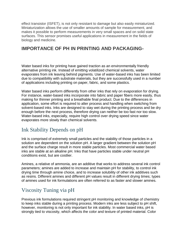effect transistor (ISFET), is not only resistant to damage but also easily miniaturized. Miniaturization allows the use of smaller amounts of sample for measurement, and makes it possible to perform measurements in very small spaces and on solid state surfaces. This sensor promises useful applications in measurement in the fields of biology and medicine.

## **IMPORTANCE OF PH IN PRINTING AND PACKAGING-**

Water based inks for printing have gained traction as an environmentally friendly alternative printing ink. Instead of emitting volatilized chemical solvents, water evaporates from ink leaving behind pigments. Use of water-based inks has been limited due to compatibility with substrate materials, but they are successfully used in a number of applications including printing on paper, fabric, and some plastics.

Water based inks perform differently from other inks that rely on evaporation for drying. For instance, water-based inks incorporate into fabric and paper fibers more easily, thus making for thinner printing and a breathable final product. Due to the differences in application, some effort is required to alter process and handling when switching from solvent-based inks. Inks are designed to stay wet during the printing process and be dry enough before the next process, therefore drying can neither be too fast nor too slow. Water-based inks, especially, require high control over drying speed since water evaporates more slowly than chemical solvents.

# Ink Stability Depends on pH

Ink is comprised of extremely small particles and the stability of those particles in a solution are dependent on the solution pH. A larger gradient between the solution pH and the surface charge result in more stable particles. Most commercial water based inks are stable at an alkaline pH. Inks that have particles stable under neutral pH conditions exist, but are costlier.

Amines, a relative of ammonia, are an additive that works to address several ink control parameters; amines are added to increase and maintain pH for stability, to control ink drying time through amine choice, and to increase solubility of other ink additives such as resins. Different amines and different pH values result in different drying times; types of amines used for ink formulations are often referred to as faster and slower amines.

# Viscosity Tuning via pH

Previous ink formulations required stringent pH monitoring and knowledge of chemistry to keep inks stable during a printing process. Modern inks are less subject to pH shift, however, monitoring is not only important for ink stability. In water based inks, pH is strongly tied to viscosity, which affects the color and texture of printed material. Color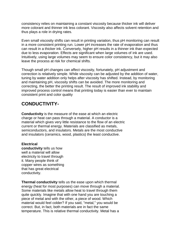consistency relies on maintaining a constant viscosity because thicker ink will deliver more colorant and thinner ink less colorant. Viscosity also affects solvent retention and thus plays a role in drying rates.

Even small viscosity shifts can result in printing variation, thus pH monitoring can result in a more consistent printing run. Lower pH increases the rate of evaporation and thus can result in a thicker ink. Conversely, higher pH results in a thinner ink than expected due to less evaporation. Effects are significant when large volumes of ink are used. Intuitively, using large volumes may seem to ensure color consistency, but it may also leave the process at risk for chemical shifts.

Though small pH changes can affect viscosity, fortunately, pH adjustment and correction is relatively simple. While viscosity can be adjusted by the addition of water, tuning by water addition only helps after viscosity has shifted. Instead, by monitoring and maintaining pH, viscosity shifts can be avoided. The more monitoring and correcting, the better the printing result. The result of improved ink stability and improved process control means that printing today is easier than ever to maintain consistent print and color quality

## **CONDUCTIVITY-**

**Conductivity** is the measure of the ease at which an electric charge or heat can pass through a material. A conductor is a material which gives very little resistance to the flow of an electric current or thermal energy. Materials are classified as metals, semiconductors, and insulators. Metals are the most conductive and insulators (ceramics, wood, plastics) the least conductive.

#### **Electrical**

**conductivity** tells us how well a material will allow electricity to travel through it. Many people think of copper wires as something that has great electrical conductivity.

**Thermal conductivity** tells us the ease upon which thermal energy (heat for most purposes) can move through a material. Some materials like metals allow heat to travel through them quite quickly. Imagine that with one hand you are touching a piece of metal and with the other, a piece of wood. Which material would feel colder? If you said, "metal," you would be correct. But, in fact, both materials are in fact the same temperature. This is relative thermal conductivity. Metal has a